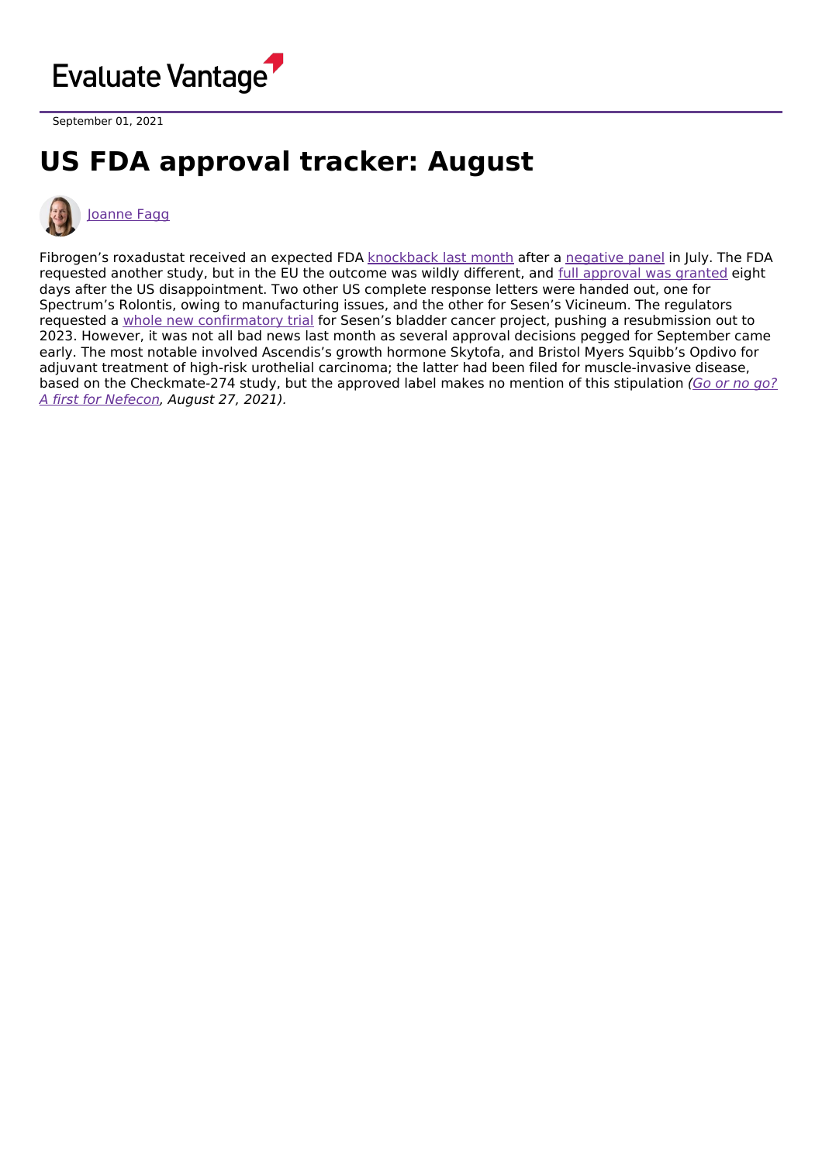

September 01, 2021

## **US FDA approval tracker: August**



## [Joanne](https://www.evaluate.com/vantage/editorial-team/joanne-fagg) Fagg

Fibrogen's roxadustat received an expected FDA [knockback](https://www.evaluate.com/vantage/articles/news/snippets/will-astra-walk-away-roxadustat) last month after a [negative](https://www.evaluate.com/vantage/articles/news/policy-and-regulation/panel-puts-fibrogen-project-almost-certain-death) panel in July. The FDA requested another study, but in the EU the outcome was wildly different, and full [approval](https://www.evaluate.com/vantage/articles/news/policy-and-regulation/roxadustat-shows-latest-regulatory-fault-line-split) was granted eight days after the US disappointment. Two other US complete response letters were handed out, one for Spectrum's Rolontis, owing to manufacturing issues, and the other for Sesen's Vicineum. The regulators requested a whole new [confirmatory](https://www.evaluate.com/vantage/articles/news/policy-and-regulation/sesens-corporate-spin-amounts-nothing) trial for Sesen's bladder cancer project, pushing a resubmission out to 2023. However, it was not all bad news last month as several approval decisions pegged for September came early. The most notable involved Ascendis's growth hormone Skytofa, and Bristol Myers Squibb's Opdivo for adjuvant treatment of high-risk urothelial carcinoma; the latter had been filed for muscle-invasive disease, based on the [Checkmate-274](https://www.evaluate.com/vantage/articles/events/company-events/go-or-no-go-first-nefecon) study, but the approved label makes no mention of this stipulation (Go or no go? A first for Nefecon, August 27, 2021).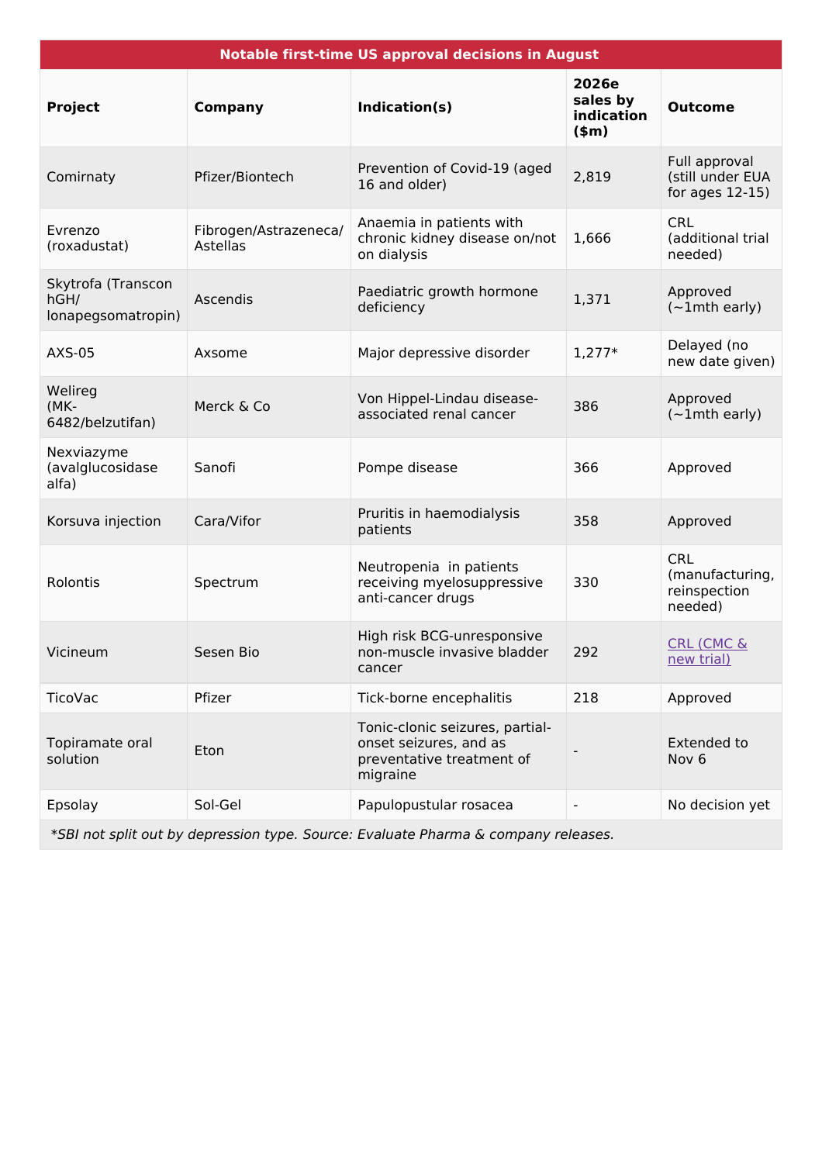| <b>Notable first-time US approval decisions in August</b> |                                   |                                                                                                    |                                            |                                                          |  |  |  |
|-----------------------------------------------------------|-----------------------------------|----------------------------------------------------------------------------------------------------|--------------------------------------------|----------------------------------------------------------|--|--|--|
| <b>Project</b>                                            | <b>Company</b>                    | Indication(s)                                                                                      | 2026e<br>sales by<br>indication<br>$(\$m)$ | <b>Outcome</b>                                           |  |  |  |
| Comirnaty                                                 | Pfizer/Biontech                   | Prevention of Covid-19 (aged<br>16 and older)                                                      | 2,819                                      | Full approval<br>(still under EUA<br>for ages 12-15)     |  |  |  |
| Evrenzo<br>(roxadustat)                                   | Fibrogen/Astrazeneca/<br>Astellas | Anaemia in patients with<br>chronic kidney disease on/not<br>on dialysis                           | 1,666                                      | <b>CRL</b><br>(additional trial<br>needed)               |  |  |  |
| Skytrofa (Transcon<br>hGH/<br>lonapegsomatropin)          | Ascendis                          | Paediatric growth hormone<br>deficiency                                                            | 1,371                                      | Approved<br>$(-1$ mth early)                             |  |  |  |
| <b>AXS-05</b>                                             | Axsome                            | Major depressive disorder                                                                          | $1,277*$                                   | Delayed (no<br>new date given)                           |  |  |  |
| Welireg<br>(MK-<br>6482/belzutifan)                       | Merck & Co                        | Von Hippel-Lindau disease-<br>associated renal cancer                                              | 386                                        | Approved<br>$(-1$ mth early)                             |  |  |  |
| Nexviazyme<br>(avalglucosidase<br>alfa)                   | Sanofi                            | Pompe disease                                                                                      | 366                                        | Approved                                                 |  |  |  |
| Korsuva injection                                         | Cara/Vifor                        | Pruritis in haemodialysis<br>patients                                                              | 358                                        | Approved                                                 |  |  |  |
| Rolontis                                                  | Spectrum                          | Neutropenia in patients<br>receiving myelosuppressive<br>anti-cancer drugs                         | 330                                        | <b>CRL</b><br>(manufacturing,<br>reinspection<br>needed) |  |  |  |
| Vicineum                                                  | Sesen Bio                         | High risk BCG-unresponsive<br>non-muscle invasive bladder<br>cancer                                | 292                                        | <b>CRL (CMC &amp;</b><br><u>new trial)</u>               |  |  |  |
| <b>TicoVac</b>                                            | Pfizer                            | Tick-borne encephalitis                                                                            | 218                                        | Approved                                                 |  |  |  |
| Topiramate oral<br>solution                               | Eton                              | Tonic-clonic seizures, partial-<br>onset seizures, and as<br>preventative treatment of<br>migraine |                                            | <b>Extended to</b><br>Nov <sub>6</sub>                   |  |  |  |
| Epsolay                                                   | Sol-Gel                           | Papulopustular rosacea                                                                             |                                            | No decision yet                                          |  |  |  |

\*SBI not split out by depression type. Source: Evaluate Pharma & company releases.